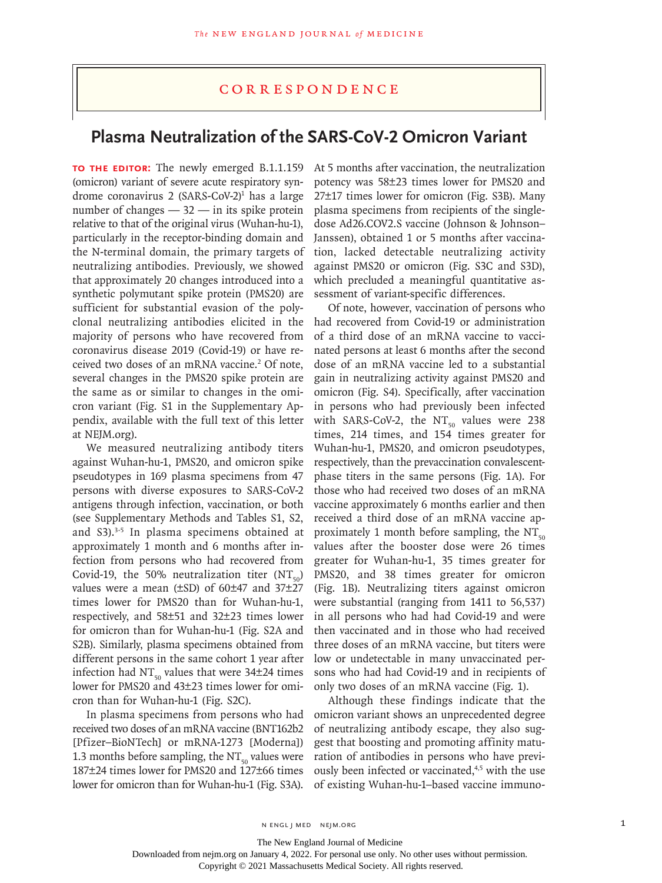### Correspondence

# **Plasma Neutralization of the SARS-CoV-2 Omicron Variant**

TO THE EDITOR: The newly emerged B.1.1.159 (omicron) variant of severe acute respiratory syndrome coronavirus 2 (SARS-CoV-2)<sup>1</sup> has a large number of changes — 32 — in its spike protein relative to that of the original virus (Wuhan-hu-1), particularly in the receptor-binding domain and the N-terminal domain, the primary targets of neutralizing antibodies. Previously, we showed that approximately 20 changes introduced into a synthetic polymutant spike protein (PMS20) are sufficient for substantial evasion of the polyclonal neutralizing antibodies elicited in the majority of persons who have recovered from coronavirus disease 2019 (Covid-19) or have received two doses of an mRNA vaccine.<sup>2</sup> Of note, several changes in the PMS20 spike protein are the same as or similar to changes in the omicron variant (Fig. S1 in the Supplementary Appendix, available with the full text of this letter at NEJM.org).

We measured neutralizing antibody titers against Wuhan-hu-1, PMS20, and omicron spike pseudotypes in 169 plasma specimens from 47 persons with diverse exposures to SARS-CoV-2 antigens through infection, vaccination, or both (see Supplementary Methods and Tables S1, S2, and S3).<sup>3-5</sup> In plasma specimens obtained at approximately 1 month and 6 months after infection from persons who had recovered from Covid-19, the 50% neutralization titer  $(NT<sub>-0</sub>)$ values were a mean (±SD) of 60±47 and 37±27 times lower for PMS20 than for Wuhan-hu-1, respectively, and 58±51 and 32±23 times lower for omicron than for Wuhan-hu-1 (Fig. S2A and S2B). Similarly, plasma specimens obtained from different persons in the same cohort 1 year after infection had NT $_{50}$  values that were 34±24 times lower for PMS20 and 43±23 times lower for omicron than for Wuhan-hu-1 (Fig. S2C).

In plasma specimens from persons who had received two doses of an mRNA vaccine (BNT162b2 [Pfizer–BioNTech] or mRNA-1273 [Moderna]) 1.3 months before sampling, the  $NT_{50}$  values were 187±24 times lower for PMS20 and 127±66 times lower for omicron than for Wuhan-hu-1 (Fig. S3A).

At 5 months after vaccination, the neutralization potency was 58±23 times lower for PMS20 and 27±17 times lower for omicron (Fig. S3B). Many plasma specimens from recipients of the singledose Ad26.COV2.S vaccine (Johnson & Johnson– Janssen), obtained 1 or 5 months after vaccination, lacked detectable neutralizing activity against PMS20 or omicron (Fig. S3C and S3D), which precluded a meaningful quantitative assessment of variant-specific differences.

Of note, however, vaccination of persons who had recovered from Covid-19 or administration of a third dose of an mRNA vaccine to vaccinated persons at least 6 months after the second dose of an mRNA vaccine led to a substantial gain in neutralizing activity against PMS20 and omicron (Fig. S4). Specifically, after vaccination in persons who had previously been infected with SARS-CoV-2, the  $NT_{50}$  values were 238 times, 214 times, and 154 times greater for Wuhan-hu-1, PMS20, and omicron pseudotypes, respectively, than the prevaccination convalescentphase titers in the same persons (Fig. 1A). For those who had received two doses of an mRNA vaccine approximately 6 months earlier and then received a third dose of an mRNA vaccine approximately 1 month before sampling, the  $NT_{50}$ values after the booster dose were 26 times greater for Wuhan-hu-1, 35 times greater for PMS20, and 38 times greater for omicron (Fig. 1B). Neutralizing titers against omicron were substantial (ranging from 1411 to 56,537) in all persons who had had Covid-19 and were then vaccinated and in those who had received three doses of an mRNA vaccine, but titers were low or undetectable in many unvaccinated persons who had had Covid-19 and in recipients of only two doses of an mRNA vaccine (Fig. 1).

Although these findings indicate that the omicron variant shows an unprecedented degree of neutralizing antibody escape, they also suggest that boosting and promoting affinity maturation of antibodies in persons who have previously been infected or vaccinated,<sup>4,5</sup> with the use of existing Wuhan-hu-1–based vaccine immuno-

The New England Journal of Medicine

Downloaded from nejm.org on January 4, 2022. For personal use only. No other uses without permission.

Copyright © 2021 Massachusetts Medical Society. All rights reserved.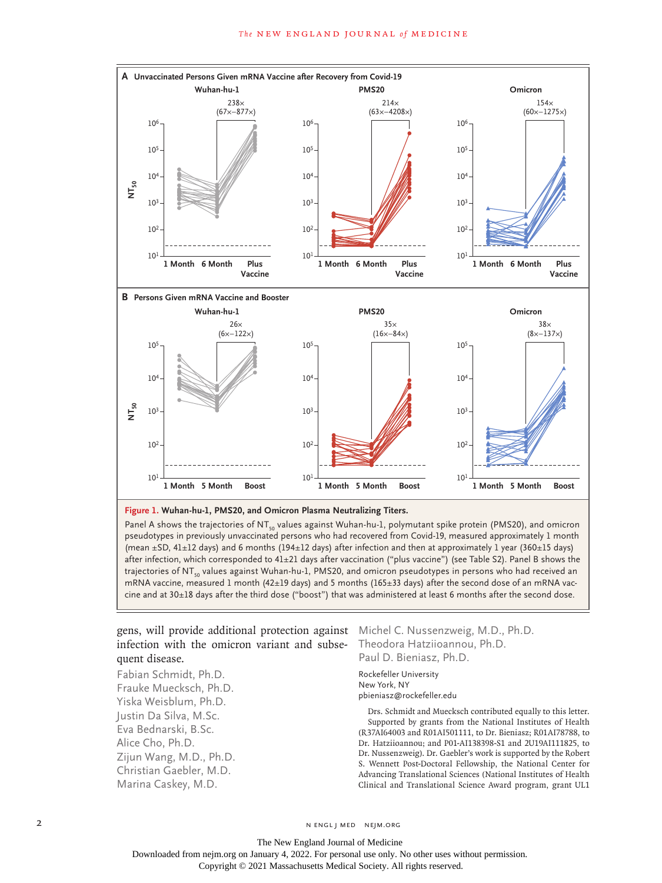#### **The NEW ENGLAND JOURNAL of MEDICINE**





Panel A shows the trajectories of NT<sub>50</sub> values against Wuhan-hu-1, polymutant spike protein (PMS20), and omicron pseudotypes in previously unvaccinated persons who had recovered from Covid-19, measured approximately 1 month (mean  $\pm$ SD, 41 $\pm$ 12 days) and 6 months (194 $\pm$ 12 days) after infection and then at approximately 1 year (360 $\pm$ 15 days) after infection, which corresponded to 41±21 days after vaccination ("plus vaccine") (see Table S2). Panel B shows the trajectories of NT<sub>50</sub> values against Wuhan-hu-1, PMS20, and omicron pseudotypes in persons who had received an mRNA vaccine, measured 1 month (42±19 days) and 5 months (165±33 days) after the second dose of an mRNA vac-

### gens, will provide additional protection against Michel C. Nussenzweig, M.D., Ph.D. infection with the omicron variant and subsequent disease.

Fabian Schmidt, Ph.D. Frauke Muecksch, Ph.D. Yiska Weisblum, Ph.D. Justin Da Silva, M.Sc. Eva Bednarski, B.Sc. Alice Cho, Ph.D. Zijun Wang, M.D., Ph.D. Christian Gaebler, M.D. Marina Caskey, M.D.

# Theodora Hatziioannou, Ph.D. Paul D. Bieniasz, Ph.D.

Rockefeller University New York, NY pbieniasz@rockefeller.edu

Drs. Schmidt and Muecksch contributed equally to this letter. Supported by grants from the National Institutes of Health (R37AI64003 and R01AI501111, to Dr. Bieniasz; R01AI78788, to Dr. Hatziioannou; and P01-AI138398-S1 and 2U19AI111825, to Dr. Nussenzweig). Dr. Gaebler's work is supported by the Robert S. Wennett Post-Doctoral Fellowship, the National Center for Advancing Translational Sciences (National Institutes of Health Clinical and Translational Science Award program, grant UL1

2 N ENGL J MED NEJM.ORG

The New England Journal of Medicine Downloaded from nejm.org on January 4, 2022. For personal use only. No other uses without permission. Copyright © 2021 Massachusetts Medical Society. All rights reserved.